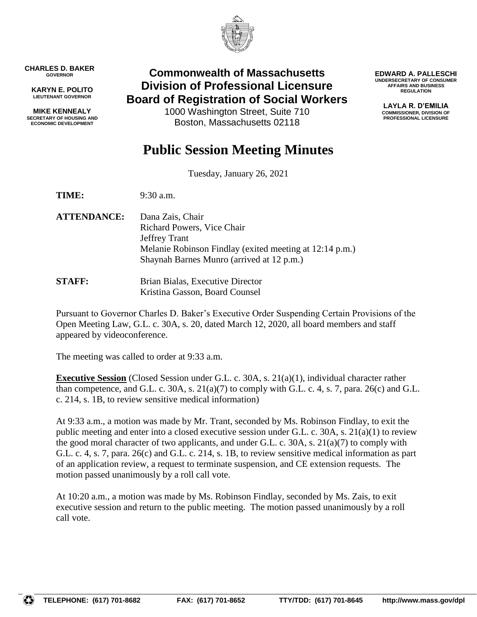

**CHARLES D. BAKER GOVERNOR**

**KARYN E. POLITO LIEUTENANT GOVERNOR**

**MIKE KENNEALY SECRETARY OF HOUSING AND ECONOMIC DEVELOPMENT**

# **Commonwealth of Massachusetts Division of Professional Licensure Board of Registration of Social Workers**

1000 Washington Street, Suite 710 Boston, Massachusetts 02118

**EDWARD A. PALLESCHI UNDERSECRETARY OF CONSUMER AFFAIRS AND BUSINESS REGULATION**

> **LAYLA R. D'EMILIA COMMISSIONER, DIVISION OF PROFESSIONAL LICENSURE**

# **Public Session Meeting Minutes**

Tuesday, January 26, 2021

**TIME:** 9:30 a.m.

- **ATTENDANCE:** Dana Zais, Chair Richard Powers, Vice Chair Jeffrey Trant Melanie Robinson Findlay (exited meeting at 12:14 p.m.) Shaynah Barnes Munro (arrived at 12 p.m.)
- **STAFF:** Brian Bialas, Executive Director Kristina Gasson, Board Counsel

Pursuant to Governor Charles D. Baker's Executive Order Suspending Certain Provisions of the Open Meeting Law, G.L. c. 30A, s. 20, dated March 12, 2020, all board members and staff appeared by videoconference.

The meeting was called to order at 9:33 a.m.

**Executive Session** (Closed Session under G.L. c. 30A, s. 21(a)(1), individual character rather than competence, and G.L. c. 30A, s.  $21(a)(7)$  to comply with G.L. c. 4, s. 7, para.  $26(c)$  and G.L. c. 214, s. 1B, to review sensitive medical information)

At 9:33 a.m., a motion was made by Mr. Trant, seconded by Ms. Robinson Findlay, to exit the public meeting and enter into a closed executive session under G.L. c. 30A, s.  $21(a)(1)$  to review the good moral character of two applicants, and under G.L. c. 30A, s.  $21(a)(7)$  to comply with G.L. c. 4, s. 7, para. 26(c) and G.L. c. 214, s. 1B, to review sensitive medical information as part of an application review, a request to terminate suspension, and CE extension requests. The motion passed unanimously by a roll call vote.

At 10:20 a.m., a motion was made by Ms. Robinson Findlay, seconded by Ms. Zais, to exit executive session and return to the public meeting. The motion passed unanimously by a roll call vote.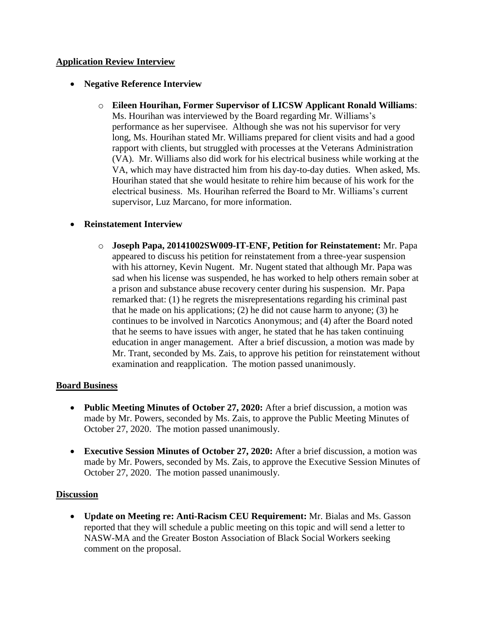### **Application Review Interview**

### **Negative Reference Interview**

o **Eileen Hourihan, Former Supervisor of LICSW Applicant Ronald Williams**: Ms. Hourihan was interviewed by the Board regarding Mr. Williams's performance as her supervisee. Although she was not his supervisor for very long, Ms. Hourihan stated Mr. Williams prepared for client visits and had a good rapport with clients, but struggled with processes at the Veterans Administration (VA). Mr. Williams also did work for his electrical business while working at the VA, which may have distracted him from his day-to-day duties. When asked, Ms. Hourihan stated that she would hesitate to rehire him because of his work for the electrical business. Ms. Hourihan referred the Board to Mr. Williams's current supervisor, Luz Marcano, for more information.

### **Reinstatement Interview**

o **Joseph Papa, 20141002SW009-IT-ENF, Petition for Reinstatement:** Mr. Papa appeared to discuss his petition for reinstatement from a three-year suspension with his attorney, Kevin Nugent. Mr. Nugent stated that although Mr. Papa was sad when his license was suspended, he has worked to help others remain sober at a prison and substance abuse recovery center during his suspension. Mr. Papa remarked that: (1) he regrets the misrepresentations regarding his criminal past that he made on his applications; (2) he did not cause harm to anyone; (3) he continues to be involved in Narcotics Anonymous; and (4) after the Board noted that he seems to have issues with anger, he stated that he has taken continuing education in anger management. After a brief discussion, a motion was made by Mr. Trant, seconded by Ms. Zais, to approve his petition for reinstatement without examination and reapplication. The motion passed unanimously.

#### **Board Business**

- **Public Meeting Minutes of October 27, 2020:** After a brief discussion, a motion was made by Mr. Powers, seconded by Ms. Zais, to approve the Public Meeting Minutes of October 27, 2020. The motion passed unanimously.
- **Executive Session Minutes of October 27, 2020:** After a brief discussion, a motion was made by Mr. Powers, seconded by Ms. Zais, to approve the Executive Session Minutes of October 27, 2020. The motion passed unanimously.

#### **Discussion**

 **Update on Meeting re: Anti-Racism CEU Requirement:** Mr. Bialas and Ms. Gasson reported that they will schedule a public meeting on this topic and will send a letter to NASW-MA and the Greater Boston Association of Black Social Workers seeking comment on the proposal.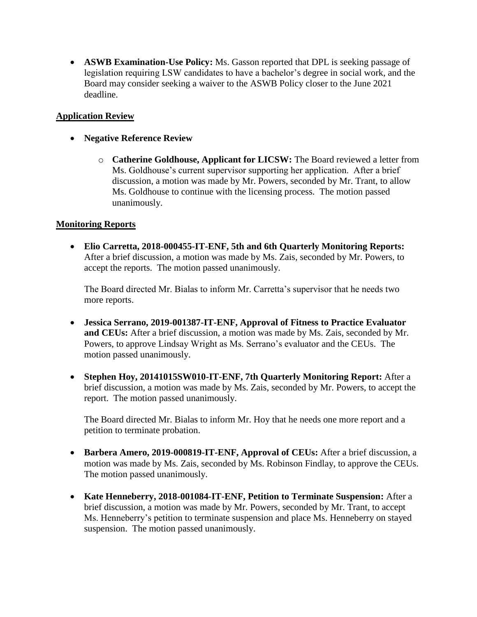**ASWB Examination-Use Policy:** Ms. Gasson reported that DPL is seeking passage of legislation requiring LSW candidates to have a bachelor's degree in social work, and the Board may consider seeking a waiver to the ASWB Policy closer to the June 2021 deadline.

# **Application Review**

- **Negative Reference Review**
	- o **Catherine Goldhouse, Applicant for LICSW:** The Board reviewed a letter from Ms. Goldhouse's current supervisor supporting her application. After a brief discussion, a motion was made by Mr. Powers, seconded by Mr. Trant, to allow Ms. Goldhouse to continue with the licensing process. The motion passed unanimously.

## **Monitoring Reports**

 **Elio Carretta, 2018-000455-IT-ENF, 5th and 6th Quarterly Monitoring Reports:** After a brief discussion, a motion was made by Ms. Zais, seconded by Mr. Powers, to accept the reports. The motion passed unanimously.

The Board directed Mr. Bialas to inform Mr. Carretta's supervisor that he needs two more reports.

- **Jessica Serrano, 2019-001387-IT-ENF, Approval of Fitness to Practice Evaluator and CEUs:** After a brief discussion, a motion was made by Ms. Zais, seconded by Mr. Powers, to approve Lindsay Wright as Ms. Serrano's evaluator and the CEUs. The motion passed unanimously.
- **Stephen Hoy, 20141015SW010-IT-ENF, 7th Quarterly Monitoring Report:** After a brief discussion, a motion was made by Ms. Zais, seconded by Mr. Powers, to accept the report. The motion passed unanimously.

The Board directed Mr. Bialas to inform Mr. Hoy that he needs one more report and a petition to terminate probation.

- **Barbera Amero, 2019-000819-IT-ENF, Approval of CEUs:** After a brief discussion, a motion was made by Ms. Zais, seconded by Ms. Robinson Findlay, to approve the CEUs. The motion passed unanimously.
- **Kate Henneberry, 2018-001084-IT-ENF, Petition to Terminate Suspension:** After a brief discussion, a motion was made by Mr. Powers, seconded by Mr. Trant, to accept Ms. Henneberry's petition to terminate suspension and place Ms. Henneberry on stayed suspension. The motion passed unanimously.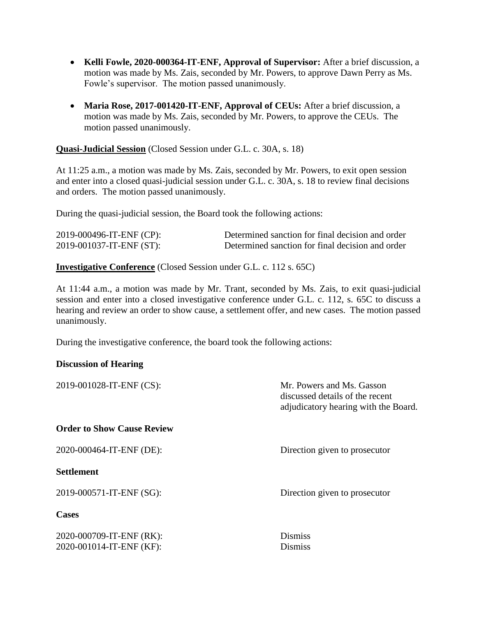- **Kelli Fowle, 2020-000364-IT-ENF, Approval of Supervisor:** After a brief discussion, a motion was made by Ms. Zais, seconded by Mr. Powers, to approve Dawn Perry as Ms. Fowle's supervisor. The motion passed unanimously.
- **Maria Rose, 2017-001420-IT-ENF, Approval of CEUs:** After a brief discussion, a motion was made by Ms. Zais, seconded by Mr. Powers, to approve the CEUs. The motion passed unanimously.

**Quasi-Judicial Session** (Closed Session under G.L. c. 30A, s. 18)

At 11:25 a.m., a motion was made by Ms. Zais, seconded by Mr. Powers, to exit open session and enter into a closed quasi-judicial session under G.L. c. 30A, s. 18 to review final decisions and orders. The motion passed unanimously.

During the quasi-judicial session, the Board took the following actions:

| 2019-000496-IT-ENF (CP): | Determined sanction for final decision and order |
|--------------------------|--------------------------------------------------|
| 2019-001037-IT-ENF (ST): | Determined sanction for final decision and order |

**Investigative Conference** (Closed Session under G.L. c. 112 s. 65C)

At 11:44 a.m., a motion was made by Mr. Trant, seconded by Ms. Zais, to exit quasi-judicial session and enter into a closed investigative conference under G.L. c. 112, s. 65C to discuss a hearing and review an order to show cause, a settlement offer, and new cases. The motion passed unanimously.

During the investigative conference, the board took the following actions:

#### **Discussion of Hearing**

| 2019-001028-IT-ENF (CS):          | Mr. Powers and Ms. Gasson<br>discussed details of the recent<br>adjudicatory hearing with the Board. |
|-----------------------------------|------------------------------------------------------------------------------------------------------|
| <b>Order to Show Cause Review</b> |                                                                                                      |
| 2020-000464-IT-ENF (DE):          | Direction given to prosecutor                                                                        |
| <b>Settlement</b>                 |                                                                                                      |
| 2019-000571-IT-ENF (SG):          | Direction given to prosecutor                                                                        |
| <b>Cases</b>                      |                                                                                                      |
| 2020-000709-IT-ENF (RK):          | <b>Dismiss</b>                                                                                       |
| 2020-001014-IT-ENF (KF):          | <b>Dismiss</b>                                                                                       |